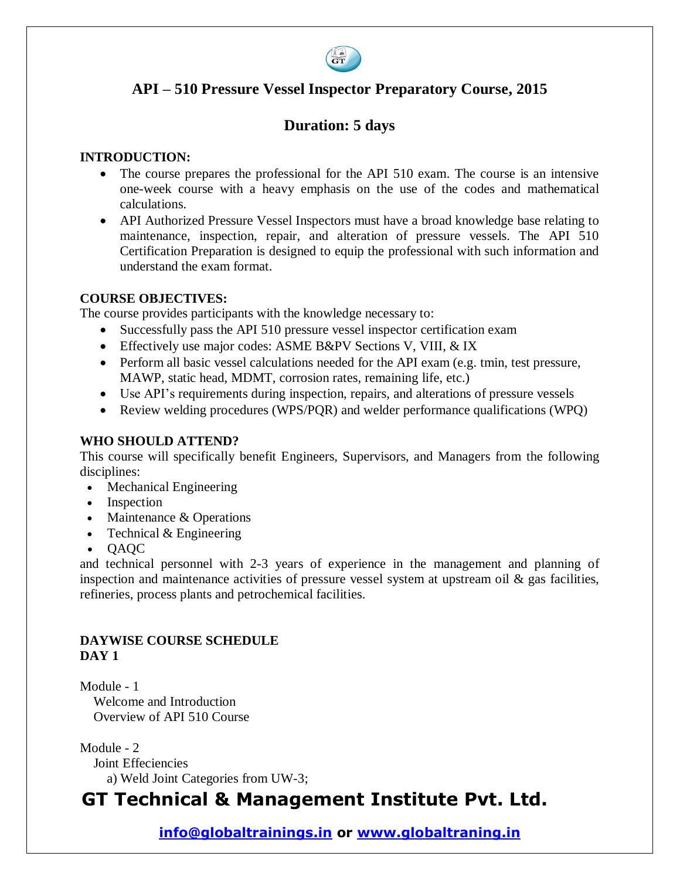

## **API – 510 Pressure Vessel Inspector Preparatory Course, 2015**

## **Duration: 5 days**

#### **INTRODUCTION:**

- The course prepares the professional for the API 510 exam. The course is an intensive one-week course with a heavy emphasis on the use of the codes and mathematical calculations.
- API Authorized Pressure Vessel Inspectors must have a broad knowledge base relating to maintenance, inspection, repair, and alteration of pressure vessels. The API 510 Certification Preparation is designed to equip the professional with such information and understand the exam format.

#### **COURSE OBJECTIVES:**

The course provides participants with the knowledge necessary to:

- Successfully pass the API 510 pressure vessel inspector certification exam
- Effectively use major codes: ASME B&PV Sections V, VIII, & IX
- Perform all basic vessel calculations needed for the API exam (e.g. tmin, test pressure, MAWP, static head, MDMT, corrosion rates, remaining life, etc.)
- Use API's requirements during inspection, repairs, and alterations of pressure vessels
- Review welding procedures (WPS/PQR) and welder performance qualifications (WPQ)

#### **WHO SHOULD ATTEND?**

This course will specifically benefit Engineers, Supervisors, and Managers from the following disciplines:

- Mechanical Engineering
- Inspection
- Maintenance & Operations
- Technical & Engineering
- QAQC

and technical personnel with 2-3 years of experience in the management and planning of inspection and maintenance activities of pressure vessel system at upstream oil & gas facilities, refineries, process plants and petrochemical facilities.

### **DAYWISE COURSE SCHEDULE DAY 1**

Module - 1

 Welcome and Introduction Overview of API 510 Course

Module - 2

Joint Effeciencies

a) Weld Joint Categories from UW-3;

# **GT Technical & Management Institute Pvt. Ltd.**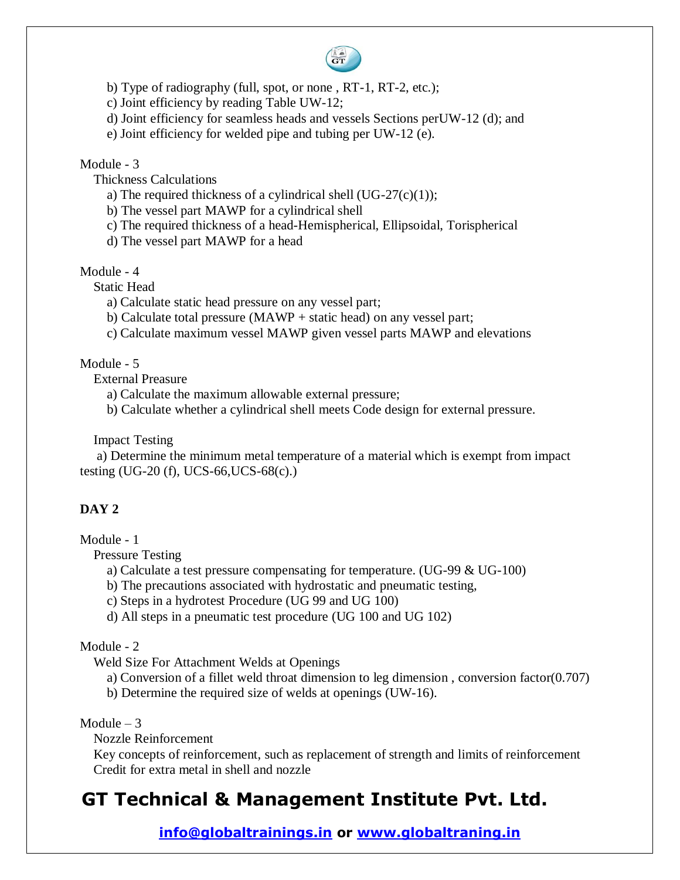

- b) Type of radiography (full, spot, or none , RT-1, RT-2, etc.);
- c) Joint efficiency by reading Table UW-12;
- d) Joint efficiency for seamless heads and vessels Sections perUW-12 (d); and
- e) Joint efficiency for welded pipe and tubing per UW-12 (e).

#### Module - 3

Thickness Calculations

- a) The required thickness of a cylindrical shell  $(UG-27(c)(1));$
- b) The vessel part MAWP for a cylindrical shell
- c) The required thickness of a head-Hemispherical, Ellipsoidal, Torispherical
- d) The vessel part MAWP for a head

#### Module - 4

Static Head

- a) Calculate static head pressure on any vessel part;
- b) Calculate total pressure (MAWP + static head) on any vessel part;
- c) Calculate maximum vessel MAWP given vessel parts MAWP and elevations

#### Module - 5

External Preasure

- a) Calculate the maximum allowable external pressure;
- b) Calculate whether a cylindrical shell meets Code design for external pressure.

Impact Testing

 a) Determine the minimum metal temperature of a material which is exempt from impact testing (UG-20 (f), UCS-66,UCS-68(c).)

#### **DAY 2**

Module - 1

Pressure Testing

a) Calculate a test pressure compensating for temperature. (UG-99 & UG-100)

b) The precautions associated with hydrostatic and pneumatic testing,

c) Steps in a hydrotest Procedure (UG 99 and UG 100)

d) All steps in a pneumatic test procedure (UG 100 and UG 102)

Module - 2

Weld Size For Attachment Welds at Openings

a) Conversion of a fillet weld throat dimension to leg dimension , conversion factor(0.707)

b) Determine the required size of welds at openings (UW-16).

Module  $-3$ 

Nozzle Reinforcement

 Key concepts of reinforcement, such as replacement of strength and limits of reinforcement Credit for extra metal in shell and nozzle

# **GT Technical & Management Institute Pvt. Ltd.**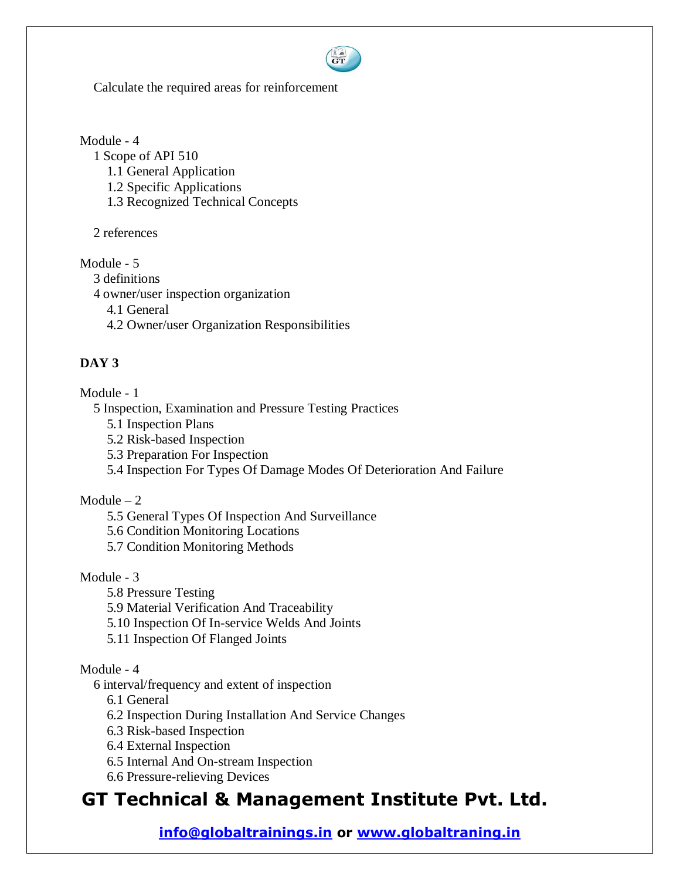

Calculate the required areas for reinforcement

Module - 4

 1 Scope of API 510 1.1 General Application 1.2 Specific Applications 1.3 Recognized Technical Concepts

2 references

Module - 5

3 definitions

4 owner/user inspection organization

4.1 General

4.2 Owner/user Organization Responsibilities

## **DAY 3**

Module - 1

5 Inspection, Examination and Pressure Testing Practices

- 5.1 Inspection Plans
- 5.2 Risk-based Inspection
- 5.3 Preparation For Inspection
- 5.4 Inspection For Types Of Damage Modes Of Deterioration And Failure

### $Module - 2$

- 5.5 General Types Of Inspection And Surveillance
- 5.6 Condition Monitoring Locations
- 5.7 Condition Monitoring Methods

### Module - 3

- 5.8 Pressure Testing
- 5.9 Material Verification And Traceability
- 5.10 Inspection Of In-service Welds And Joints
- 5.11 Inspection Of Flanged Joints

### Module - 4

6 interval/frequency and extent of inspection

6.1 General

- 6.2 Inspection During Installation And Service Changes
- 6.3 Risk-based Inspection
- 6.4 External Inspection
- 6.5 Internal And On-stream Inspection
- 6.6 Pressure-relieving Devices

# **GT Technical & Management Institute Pvt. Ltd.**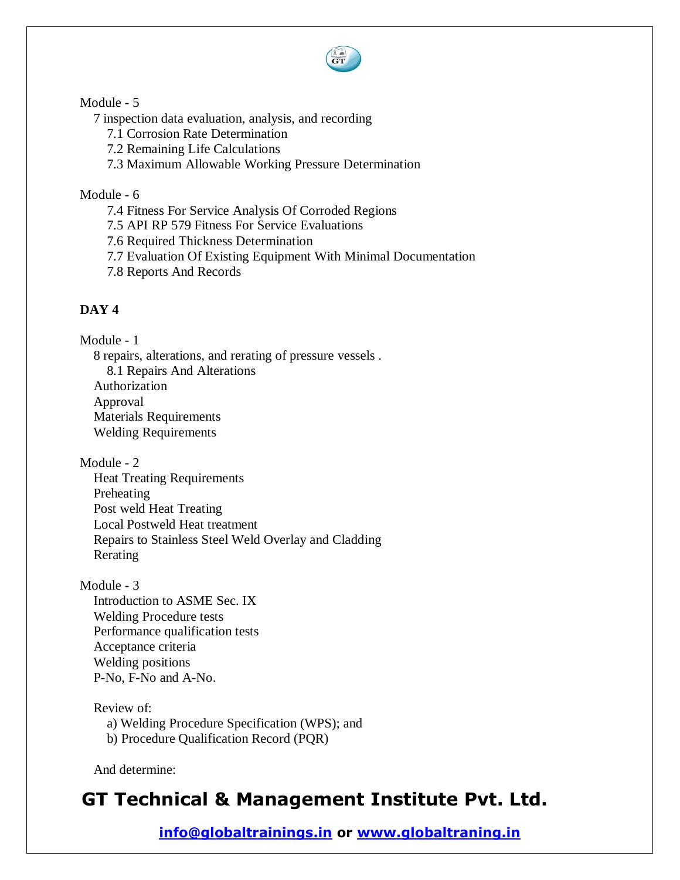

#### Module - 5

7 inspection data evaluation, analysis, and recording

7.1 Corrosion Rate Determination

7.2 Remaining Life Calculations

7.3 Maximum Allowable Working Pressure Determination

### Module - 6

7.4 Fitness For Service Analysis Of Corroded Regions

7.5 API RP 579 Fitness For Service Evaluations

7.6 Required Thickness Determination

7.7 Evaluation Of Existing Equipment With Minimal Documentation

7.8 Reports And Records

## **DAY 4**

Module - 1

 8 repairs, alterations, and rerating of pressure vessels . 8.1 Repairs And Alterations Authorization Approval Materials Requirements Welding Requirements

Module - 2

 Heat Treating Requirements Preheating Post weld Heat Treating Local Postweld Heat treatment Repairs to Stainless Steel Weld Overlay and Cladding Rerating

Module - 3 Introduction to ASME Sec. IX Welding Procedure tests Performance qualification tests Acceptance criteria Welding positions P-No, F-No and A-No.

Review of:

a) Welding Procedure Specification (WPS); and

b) Procedure Qualification Record (PQR)

And determine:

# **GT Technical & Management Institute Pvt. Ltd.**